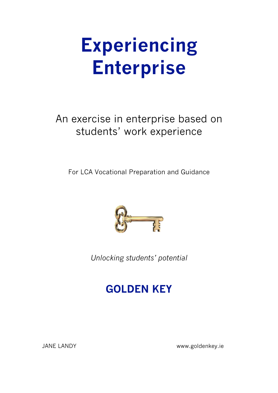# **Experiencing Enterprise**

# An exercise in enterprise based on students' work experience

For LCA Vocational Preparation and Guidance



*Unlocking students' potential*

# **GOLDEN KEY**

JANE LANDY www.goldenkey.ie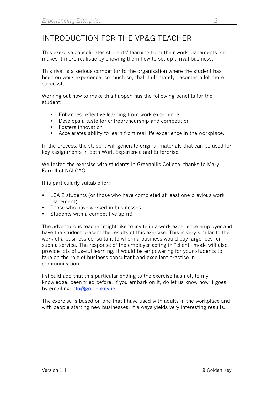### INTRODUCTION FOR THE VP&G TEACHER

This exercise consolidates students' learning from their work placements and makes it more realistic by showing them how to set up a rival business.

This rival is a serious competitor to the organisation where the student has been on work experience, so much so, that it ultimately becomes a lot more successful.

Working out how to make this happen has the following benefits for the student:

- Enhances reflective learning from work experience
- Develops a taste for entrepreneurship and competition
- Fosters innovation
- Accelerates ability to learn from real life experience in the workplace.

In the process, the student will generate original materials that can be used for key assignments in both Work Experience and Enterprise.

We tested the exercise with students in Greenhills College, thanks to Mary Farrell of NALCAC.

It is particularly suitable for:

- LCA 2 students (or those who have completed at least one previous work placement)
- Those who have worked in businesses
- Students with a competitive spirit!

The adventurous teacher might like to invite in a work experience employer and have the student present the results of this exercise. This is very similar to the work of a business consultant to whom a business would pay large fees for such a service. The response of the employer acting in "client" mode will also provide lots of useful learning. It would be empowering for your students to take on the role of business consultant and excellent practice in communication.

I should add that this particular ending to the exercise has not, to my knowledge, been tried before. If you embark on it, do let us know how it goes by emailing info@goldenkey.ie

The exercise is based on one that I have used with adults in the workplace and with people starting new businesses. It always yields very interesting results.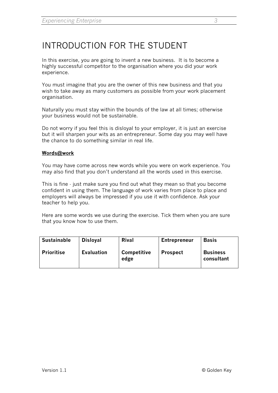# INTRODUCTION FOR THE STUDENT

In this exercise, you are going to invent a new business. It is to become a highly successful competitor to the organisation where you did your work experience.

You must imagine that you are the owner of this new business and that you wish to take away as many customers as possible from your work placement organisation.

Naturally you must stay within the bounds of the law at all times; otherwise your business would not be sustainable.

Do not worry if you feel this is disloyal to your employer, it is just an exercise but it will sharpen your wits as an entrepreneur. Some day you may well have the chance to do something similar in real life.

#### **Words@work**

You may have come across new words while you were on work experience. You may also find that you don't understand all the words used in this exercise.

This is fine - just make sure you find out what they mean so that you become confident in using them. The language of work varies from place to place and employers will always be impressed if you use it with confidence. Ask your teacher to help you.

Here are some words we use during the exercise. Tick them when you are sure that you know how to use them.

| <b>Sustainable</b> | <b>Disloyal</b>   | <b>Rival</b>               | <b>Entrepreneur</b> | <b>Basis</b>                  |
|--------------------|-------------------|----------------------------|---------------------|-------------------------------|
| <b>Prioritise</b>  | <b>Evaluation</b> | <b>Competitive</b><br>edge | <b>Prospect</b>     | <b>Business</b><br>consultant |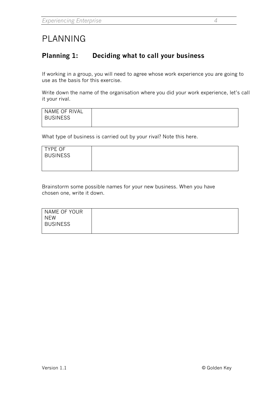# PLANNING

#### **Planning 1: Deciding what to call your business**

If working in a group, you will need to agree whose work experience you are going to use as the basis for this exercise.

Write down the name of the organisation where you did your work experience, let's call it your rival.

| NAME OF RIVAL<br><b>BUSINESS</b> |  |  |
|----------------------------------|--|--|
|                                  |  |  |

What type of business is carried out by your rival? Note this here.

| TYPE OF<br><b>BUSINESS</b> |  |
|----------------------------|--|
|                            |  |

Brainstorm some possible names for your new business. When you have chosen one, write it down.

| NAME OF YOUR    |  |
|-----------------|--|
| <b>NEW</b>      |  |
| <b>BUSINESS</b> |  |
|                 |  |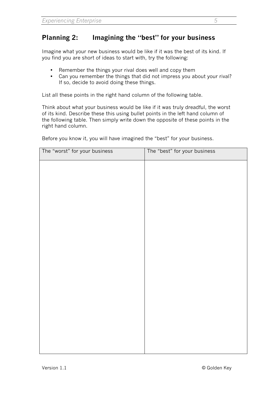#### **Planning 2: Imagining the "best" for your business**

Imagine what your new business would be like if it was the best of its kind. If you find you are short of ideas to start with, try the following:

- Remember the things your rival does well and copy them
- Can you remember the things that did not impress you about your rival? If so, decide to avoid doing these things.

List all these points in the right hand column of the following table.

Think about what your business would be like if it was truly dreadful, the worst of its kind. Describe these this using bullet points in the left hand column of the following table. Then simply write down the opposite of these points in the right hand column.

Before you know it, you will have imagined the "best" for your business.

| The "worst" for your business | The "best" for your business |
|-------------------------------|------------------------------|
|                               |                              |
|                               |                              |
|                               |                              |
|                               |                              |
|                               |                              |
|                               |                              |
|                               |                              |
|                               |                              |
|                               |                              |
|                               |                              |
|                               |                              |
|                               |                              |
|                               |                              |
|                               |                              |
|                               |                              |
|                               |                              |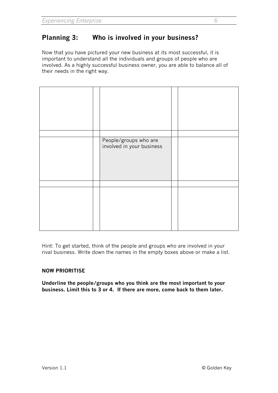#### **Planning 3: Who is involved in your business?**

Now that you have pictured your new business at its most successful, it is important to understand all the individuals and groups of people who are involved. As a highly successful business owner, you are able to balance all of their needs in the right way.

|  | People/groups who are<br>involved in your business |  |
|--|----------------------------------------------------|--|
|  |                                                    |  |
|  |                                                    |  |

Hint: To get started, think of the people and groups who are involved in your rival business. Write down the names in the empty boxes above or make a list.

#### **NOW PRIORITISE**

**Underline the people/groups who you think are the most important to your business. Limit this to 3 or 4. If there are more, come back to them later.**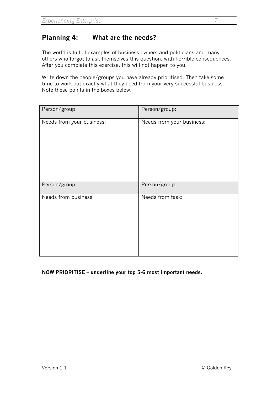#### **Planning 4: What are the needs?**

The world is full of examples of business owners and politicians and many others who forgot to ask themselves this question, with horrible consequences. After you complete this exercise, this will not happen to you.

Write down the people/groups you have already prioritised. Then take some time to work out exactly what they need from your very successful business. Note these points in the boxes below.

| Person/group:             | Person/group:             |
|---------------------------|---------------------------|
| Needs from your business: | Needs from your business: |
| Person/group:             | Person/group:             |
| Needs from business:      | Needs from task:          |

**NOW PRIORITISE – underline your top 5-6 most important needs.**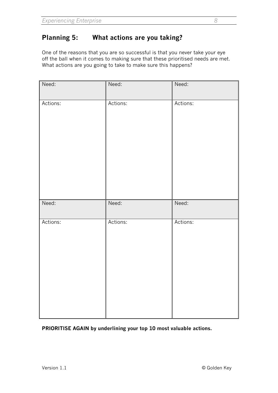#### **Planning 5: What actions are you taking?**

One of the reasons that you are so successful is that you never take your eye off the ball when it comes to making sure that these prioritised needs are met. What actions are you going to take to make sure this happens?

| Need:    | Need:    | Need:    |
|----------|----------|----------|
| Actions: | Actions: | Actions: |
| Need:    | Need:    | Need:    |
| Actions: | Actions: | Actions: |

#### **PRIORITISE AGAIN by underlining your top 10 most valuable actions.**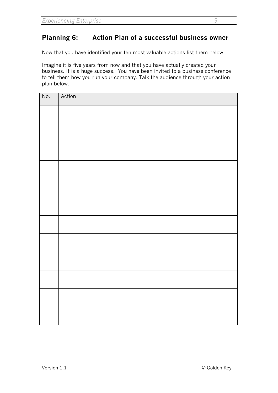#### **Planning 6: Action Plan of a successful business owner**

Now that you have identified your ten most valuable actions list them below.

Imagine it is five years from now and that you have actually created your business. It is a huge success. You have been invited to a business conference to tell them how you run your company. Talk the audience through your action plan below.

| No. | Action |
|-----|--------|
|     |        |
|     |        |
|     |        |
|     |        |
|     |        |
|     |        |
|     |        |
|     |        |
|     |        |
|     |        |
|     |        |
|     |        |
|     |        |
|     |        |
|     |        |
|     |        |
|     |        |
|     |        |
|     |        |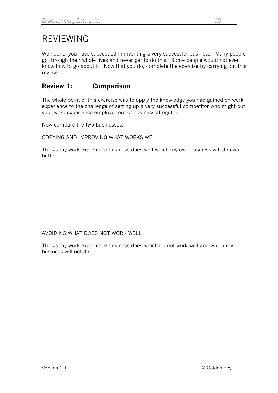## REVIEWING

Well done, you have succeeded in inventing a very successful business. Many people go through their whole lives and never get to do this. Some people would not even know how to go about it. Now that you do, complete the exercise by carrying out this review.

#### **Review 1: Comparison**

The whole point of this exercise was to apply the knowledge you had gained on work experience to the challenge of setting up a very successful competitor who might put your work experience employer out of business altogether!

Now compare the two businesses.

COPYING AND IMPROVING WHAT WORKS WELL

Things my work experience business does well which my own business will do even better:

AVOIDING WHAT DOES NOT WORK WELL

Things my work experience business does which do not work well and which my business will **not** do: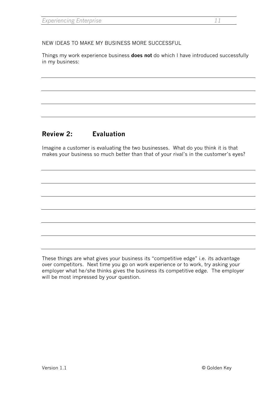NEW IDEAS TO MAKE MY BUSINESS MORE SUCCESSFUL

Things my work experience business **does not** do which I have introduced successfully in my business:

#### **Review 2: Evaluation**

Imagine a customer is evaluating the two businesses. What do you think it is that makes your business so much better than that of your rival's in the customer's eyes?

These things are what gives your business its "competitive edge" i.e. its advantage over competitors. Next time you go on work experience or to work, try asking your employer what he/she thinks gives the business its competitive edge. The employer will be most impressed by your question.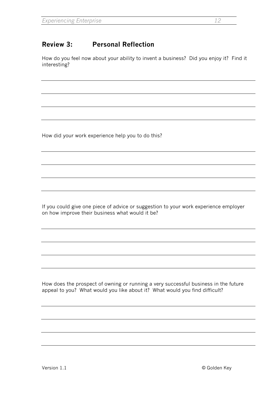#### **Review 3: Personal Reflection**

How do you feel now about your ability to invent a business? Did you enjoy it? Find it interesting?

How did your work experience help you to do this?

If you could give one piece of advice or suggestion to your work experience employer on how improve their business what would it be?

How does the prospect of owning or running a very successful business in the future appeal to you? What would you like about it? What would you find difficult?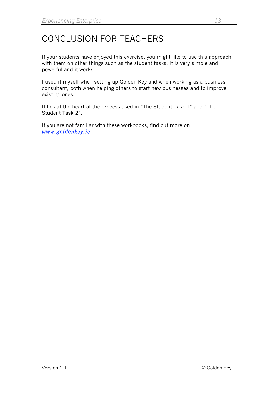# CONCLUSION FOR TEACHERS

If your students have enjoyed this exercise, you might like to use this approach with them on other things such as the student tasks. It is very simple and powerful and it works.

I used it myself when setting up Golden Key and when working as a business consultant, both when helping others to start new businesses and to improve existing ones.

It lies at the heart of the process used in "The Student Task 1" and "The Student Task 2".

If you are not familiar with these workbooks, find out more on *www.goldenkey.ie*